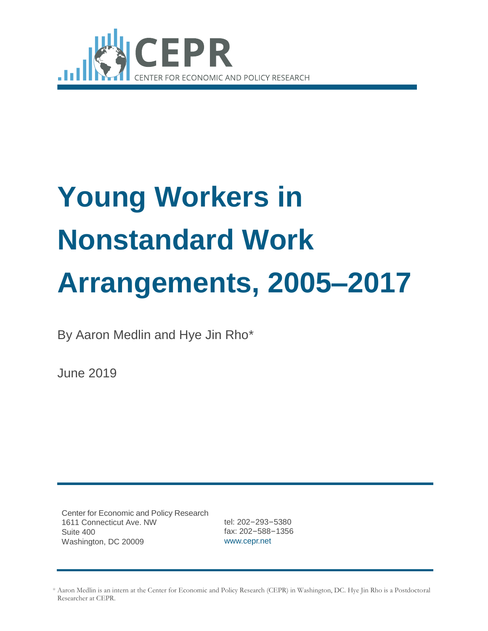

# **Young Workers in Nonstandard Work Arrangements, 2005–2017**

By Aaron Medlin and Hye Jin Rho\*

June 2019

Center for Economic and Policy Research 1611 Connecticut Ave. NW Suite 400 Washington, DC 20009

tel: 202–293–5380 fax: 202–588–1356 [www.cepr.net](http://www.cepr.net/)

<sup>\*</sup> Aaron Medlin is an intern at the Center for Economic and Policy Research (CEPR) in Washington, DC. Hye Jin Rho is a Postdoctoral Researcher at CEPR.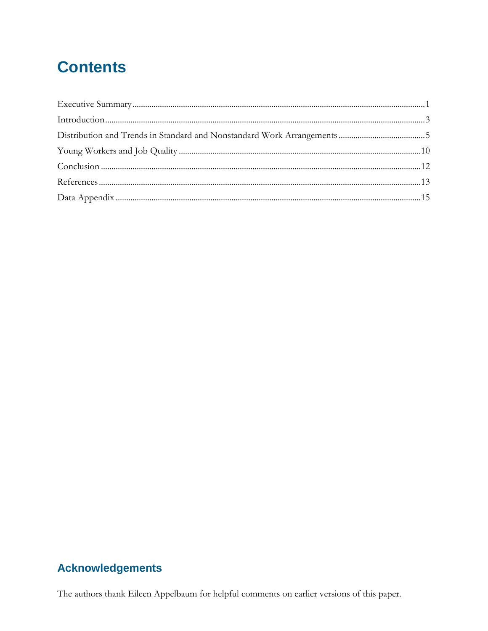# **Contents**

## **Acknowledgements**

The authors thank Eileen Appelbaum for helpful comments on earlier versions of this paper.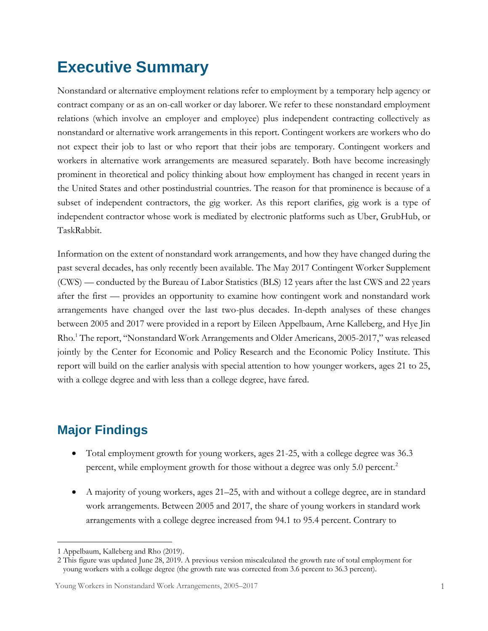# <span id="page-2-0"></span>**Executive Summary**

Nonstandard or alternative employment relations refer to employment by a temporary help agency or contract company or as an on-call worker or day laborer. We refer to these nonstandard employment relations (which involve an employer and employee) plus independent contracting collectively as nonstandard or alternative work arrangements in this report. Contingent workers are workers who do not expect their job to last or who report that their jobs are temporary. Contingent workers and workers in alternative work arrangements are measured separately. Both have become increasingly prominent in theoretical and policy thinking about how employment has changed in recent years in the United States and other postindustrial countries. The reason for that prominence is because of a subset of independent contractors, the gig worker. As this report clarifies, gig work is a type of independent contractor whose work is mediated by electronic platforms such as Uber, GrubHub, or TaskRabbit.

Information on the extent of nonstandard work arrangements, and how they have changed during the past several decades, has only recently been available. The May 2017 Contingent Worker Supplement (CWS) — conducted by the Bureau of Labor Statistics (BLS) 12 years after the last CWS and 22 years after the first — provides an opportunity to examine how contingent work and nonstandard work arrangements have changed over the last two-plus decades. In-depth analyses of these changes between 2005 and 2017 were provided in a report by Eileen Appelbaum, Arne Kalleberg, and Hye Jin Rho.<sup>1</sup> The report, "Nonstandard Work Arrangements and Older Americans, 2005-2017," was released jointly by the Center for Economic and Policy Research and the Economic Policy Institute. This report will build on the earlier analysis with special attention to how younger workers, ages 21 to 25, with a college degree and with less than a college degree, have fared.

## **Major Findings**

- Total employment growth for young workers, ages 21-25, with a college degree was 36.3 percent, while employment growth for those without a degree was only 5.0 percent.<sup>2</sup>
- A majority of young workers, ages 21–25, with and without a college degree, are in standard work arrangements. Between 2005 and 2017, the share of young workers in standard work arrangements with a college degree increased from 94.1 to 95.4 percent. Contrary to

 $\overline{a}$ 1 Appelbaum, Kalleberg and Rho (2019).

<sup>2</sup> This figure was updated June 28, 2019. A previous version miscalculated the growth rate of total employment for young workers with a college degree (the growth rate was corrected from 3.6 percent to 36.3 percent).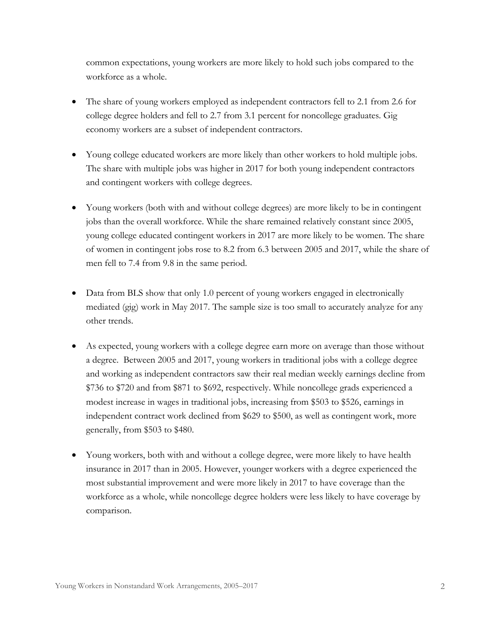common expectations, young workers are more likely to hold such jobs compared to the workforce as a whole.

- The share of young workers employed as independent contractors fell to 2.1 from 2.6 for college degree holders and fell to 2.7 from 3.1 percent for noncollege graduates. Gig economy workers are a subset of independent contractors.
- Young college educated workers are more likely than other workers to hold multiple jobs. The share with multiple jobs was higher in 2017 for both young independent contractors and contingent workers with college degrees.
- Young workers (both with and without college degrees) are more likely to be in contingent jobs than the overall workforce. While the share remained relatively constant since 2005, young college educated contingent workers in 2017 are more likely to be women. The share of women in contingent jobs rose to 8.2 from 6.3 between 2005 and 2017, while the share of men fell to 7.4 from 9.8 in the same period.
- Data from BLS show that only 1.0 percent of young workers engaged in electronically mediated (gig) work in May 2017. The sample size is too small to accurately analyze for any other trends.
- As expected, young workers with a college degree earn more on average than those without a degree. Between 2005 and 2017, young workers in traditional jobs with a college degree and working as independent contractors saw their real median weekly earnings decline from \$736 to \$720 and from \$871 to \$692, respectively. While noncollege grads experienced a modest increase in wages in traditional jobs, increasing from \$503 to \$526, earnings in independent contract work declined from \$629 to \$500, as well as contingent work, more generally, from \$503 to \$480.
- Young workers, both with and without a college degree, were more likely to have health insurance in 2017 than in 2005. However, younger workers with a degree experienced the most substantial improvement and were more likely in 2017 to have coverage than the workforce as a whole, while noncollege degree holders were less likely to have coverage by comparison.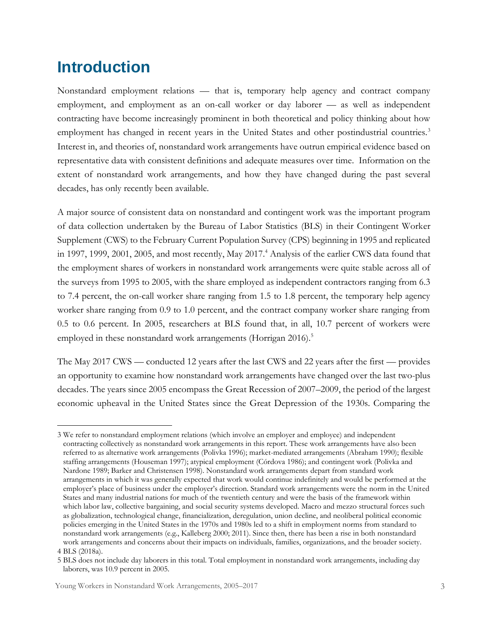# <span id="page-4-0"></span>**Introduction**

 $\overline{a}$ 

Nonstandard employment relations — that is, temporary help agency and contract company employment, and employment as an on-call worker or day laborer — as well as independent contracting have become increasingly prominent in both theoretical and policy thinking about how employment has changed in recent years in the United States and other postindustrial countries.<sup>3</sup> Interest in, and theories of, nonstandard work arrangements have outrun empirical evidence based on representative data with consistent definitions and adequate measures over time. Information on the extent of nonstandard work arrangements, and how they have changed during the past several decades, has only recently been available.

A major source of consistent data on nonstandard and contingent work was the important program of data collection undertaken by the Bureau of Labor Statistics (BLS) in their Contingent Worker Supplement (CWS) to the February Current Population Survey (CPS) beginning in 1995 and replicated in 1997, 1999, 2001, 2005, and most recently, May 2017.<sup>4</sup> Analysis of the earlier CWS data found that the employment shares of workers in nonstandard work arrangements were quite stable across all of the surveys from 1995 to 2005, with the share employed as independent contractors ranging from 6.3 to 7.4 percent, the on-call worker share ranging from 1.5 to 1.8 percent, the temporary help agency worker share ranging from 0.9 to 1.0 percent, and the contract company worker share ranging from 0.5 to 0.6 percent. In 2005, researchers at BLS found that, in all, 10.7 percent of workers were employed in these nonstandard work arrangements (Horrigan 2016).<sup>5</sup>

The May 2017 CWS — conducted 12 years after the last CWS and 22 years after the first — provides an opportunity to examine how nonstandard work arrangements have changed over the last two-plus decades. The years since 2005 encompass the Great Recession of 2007–2009, the period of the largest economic upheaval in the United States since the Great Depression of the 1930s. Comparing the

<sup>3</sup> We refer to nonstandard employment relations (which involve an employer and employee) and independent contracting collectively as nonstandard work arrangements in this report. These work arrangements have also been referred to as alternative work arrangements (Polivka 1996); market-mediated arrangements (Abraham 1990); flexible staffing arrangements (Houseman 1997); atypical employment (Córdova 1986); and contingent work (Polivka and Nardone 1989; Barker and Christensen 1998). Nonstandard work arrangements depart from standard work arrangements in which it was generally expected that work would continue indefinitely and would be performed at the employer's place of business under the employer's direction. Standard work arrangements were the norm in the United States and many industrial nations for much of the twentieth century and were the basis of the framework within which labor law, collective bargaining, and social security systems developed. Macro and mezzo structural forces such as globalization, technological change, financialization, deregulation, union decline, and neoliberal political economic policies emerging in the United States in the 1970s and 1980s led to a shift in employment norms from standard to nonstandard work arrangements (e.g., Kalleberg 2000; 2011). Since then, there has been a rise in both nonstandard work arrangements and concerns about their impacts on individuals, families, organizations, and the broader society. 4 BLS (2018a).

<sup>5</sup> BLS does not include day laborers in this total. Total employment in nonstandard work arrangements, including day laborers, was 10.9 percent in 2005.

Young Workers in Nonstandard Work Arrangements, 2005–2017 3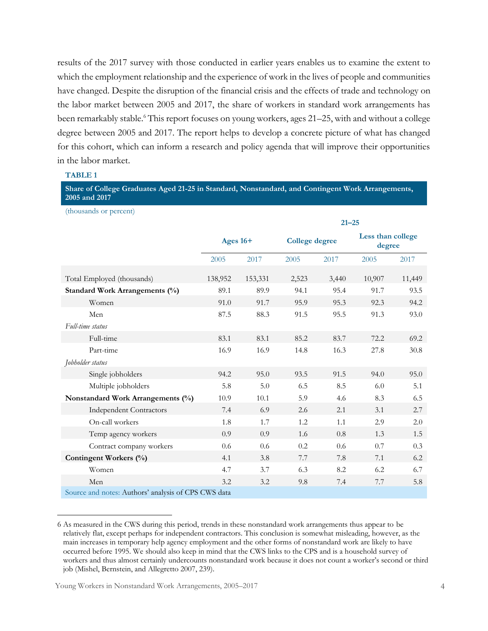results of the 2017 survey with those conducted in earlier years enables us to examine the extent to which the employment relationship and the experience of work in the lives of people and communities have changed. Despite the disruption of the financial crisis and the effects of trade and technology on the labor market between 2005 and 2017, the share of workers in standard work arrangements has been remarkably stable.<sup>6</sup> This report focuses on young workers, ages 21–25, with and without a college degree between 2005 and 2017. The report helps to develop a concrete picture of what has changed for this cohort, which can inform a research and policy agenda that will improve their opportunities in the labor market.

#### **TABLE 1**

 $\overline{a}$ 

**Share of College Graduates Aged 21-25 in Standard, Nonstandard, and Contingent Work Arrangements, 2005 and 2017**

(thousands or percent) **21–25 Ages 16+ College degree Less than college degree** 2005 2017 2005 2017 2005 2017 Total Employed (thousands) 138,952 153,331 2,523 3,440 10,907 11,449 **Standard Work Arrangements (%)** 89.1 89.9 94.1 95.4 91.7 93.5 Women 91.0 91.7 95.9 95.3 92.3 94.2 Men 87.5 88.3 91.5 95.5 91.3 93.0 *Full-time status* Full-time 83.1 83.1 85.2 83.7 72.2 69.2 Part-time 16.9 16.9 16.9 14.8 16.3 27.8 30.8 *Jobholder status* Single jobholders **94.2** 95.0 93.5 91.5 94.0 95.0 Multiple jobholders 5.8 5.0 6.5 8.5 6.0 5.1 **Nonstandard Work Arrangements (%)** 10.9 10.1 5.9 4.6 8.3 6.5 Independent Contractors 7.4 6.9 2.6 2.1 3.1 2.7 On-call workers 1.8 1.7 1.2 1.1 2.9 2.0 Temp agency workers 0.9 0.9 1.6 0.8 1.3 1.5 Contract company workers 0.6 0.6 0.2 0.6 0.7 0.3 **Contingent Workers (%)** 4.1 3.8 7.7 7.8 7.1 6.2 Women 4.7 3.7 6.3 8.2 6.2 6.7 Men 3.2 3.2 9.8 7.4 7.7 5.8 Source and notes: Authors' analysis of CPS CWS data

<sup>6</sup> As measured in the CWS during this period, trends in these nonstandard work arrangements thus appear to be relatively flat, except perhaps for independent contractors. This conclusion is somewhat misleading, however, as the main increases in temporary help agency employment and the other forms of nonstandard work are likely to have occurred before 1995. We should also keep in mind that the CWS links to the CPS and is a household survey of workers and thus almost certainly undercounts nonstandard work because it does not count a worker's second or third job (Mishel, Bernstein, and Allegretto 2007, 239).

Young Workers in Nonstandard Work Arrangements, 2005–2017 4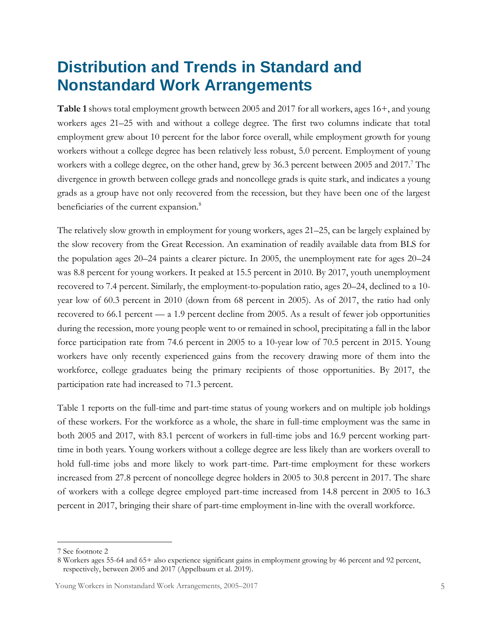# <span id="page-6-0"></span>**Distribution and Trends in Standard and Nonstandard Work Arrangements**

**Table 1** shows total employment growth between 2005 and 2017 for all workers, ages 16+, and young workers ages 21–25 with and without a college degree. The first two columns indicate that total employment grew about 10 percent for the labor force overall, while employment growth for young workers without a college degree has been relatively less robust, 5.0 percent. Employment of young workers with a college degree, on the other hand, grew by 36.3 percent between 2005 and 2017.<sup>7</sup> The divergence in growth between college grads and noncollege grads is quite stark, and indicates a young grads as a group have not only recovered from the recession, but they have been one of the largest beneficiaries of the current expansion.<sup>8</sup>

The relatively slow growth in employment for young workers, ages 21–25, can be largely explained by the slow recovery from the Great Recession. An examination of readily available data from BLS for the population ages 20–24 paints a clearer picture. In 2005, the unemployment rate for ages 20–24 was 8.8 percent for young workers. It peaked at 15.5 percent in 2010. By 2017, youth unemployment recovered to 7.4 percent. Similarly, the employment-to-population ratio, ages 20–24, declined to a 10 year low of 60.3 percent in 2010 (down from 68 percent in 2005). As of 2017, the ratio had only recovered to 66.1 percent — a 1.9 percent decline from 2005. As a result of fewer job opportunities during the recession, more young people went to or remained in school, precipitating a fall in the labor force participation rate from 74.6 percent in 2005 to a 10-year low of 70.5 percent in 2015. Young workers have only recently experienced gains from the recovery drawing more of them into the workforce, college graduates being the primary recipients of those opportunities. By 2017, the participation rate had increased to 71.3 percent.

Table 1 reports on the full-time and part-time status of young workers and on multiple job holdings of these workers. For the workforce as a whole, the share in full-time employment was the same in both 2005 and 2017, with 83.1 percent of workers in full-time jobs and 16.9 percent working parttime in both years. Young workers without a college degree are less likely than are workers overall to hold full-time jobs and more likely to work part-time. Part-time employment for these workers increased from 27.8 percent of noncollege degree holders in 2005 to 30.8 percent in 2017. The share of workers with a college degree employed part-time increased from 14.8 percent in 2005 to 16.3 percent in 2017, bringing their share of part-time employment in-line with the overall workforce.

 $\overline{a}$ 

<sup>7</sup> See footnote 2

<sup>8</sup> Workers ages 55-64 and 65+ also experience significant gains in employment growing by 46 percent and 92 percent, respectively, between 2005 and 2017 (Appelbaum et al. 2019).

Young Workers in Nonstandard Work Arrangements, 2005–2017 5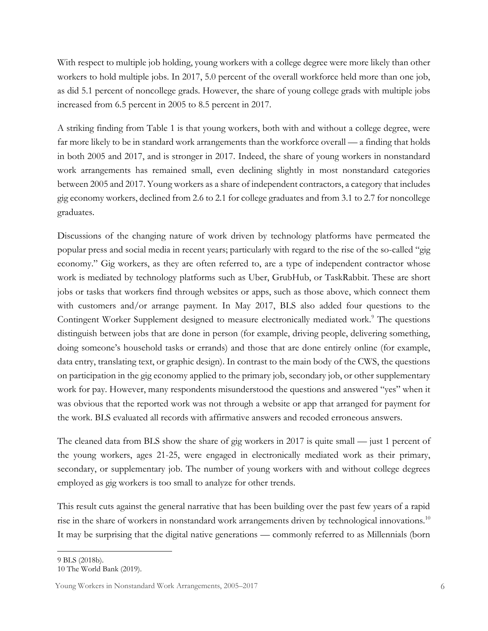With respect to multiple job holding, young workers with a college degree were more likely than other workers to hold multiple jobs. In 2017, 5.0 percent of the overall workforce held more than one job, as did 5.1 percent of noncollege grads. However, the share of young college grads with multiple jobs increased from 6.5 percent in 2005 to 8.5 percent in 2017.

A striking finding from Table 1 is that young workers, both with and without a college degree, were far more likely to be in standard work arrangements than the workforce overall — a finding that holds in both 2005 and 2017, and is stronger in 2017. Indeed, the share of young workers in nonstandard work arrangements has remained small, even declining slightly in most nonstandard categories between 2005 and 2017. Young workers as a share of independent contractors, a category that includes gig economy workers, declined from 2.6 to 2.1 for college graduates and from 3.1 to 2.7 for noncollege graduates.

Discussions of the changing nature of work driven by technology platforms have permeated the popular press and social media in recent years; particularly with regard to the rise of the so-called "gig economy." Gig workers, as they are often referred to, are a type of independent contractor whose work is mediated by technology platforms such as Uber, GrubHub, or TaskRabbit. These are short jobs or tasks that workers find through websites or apps, such as those above, which connect them with customers and/or arrange payment. In May 2017, BLS also added four questions to the Contingent Worker Supplement designed to measure electronically mediated work.<sup>9</sup> The questions distinguish between jobs that are done in person (for example, driving people, delivering something, doing someone's household tasks or errands) and those that are done entirely online (for example, data entry, translating text, or graphic design). In contrast to the main body of the CWS, the questions on participation in the gig economy applied to the primary job, secondary job, or other supplementary work for pay. However, many respondents misunderstood the questions and answered "yes" when it was obvious that the reported work was not through a website or app that arranged for payment for the work. BLS evaluated all records with affirmative answers and recoded erroneous answers.

The cleaned data from BLS show the share of gig workers in 2017 is quite small — just 1 percent of the young workers, ages 21-25, were engaged in electronically mediated work as their primary, secondary, or supplementary job. The number of young workers with and without college degrees employed as gig workers is too small to analyze for other trends.

This result cuts against the general narrative that has been building over the past few years of a rapid rise in the share of workers in nonstandard work arrangements driven by technological innovations.<sup>10</sup> It may be surprising that the digital native generations — commonly referred to as Millennials (born

 $\overline{a}$ 

<sup>9</sup> BLS (2018b).

<sup>10</sup> The World Bank (2019).

Young Workers in Nonstandard Work Arrangements, 2005–2017 6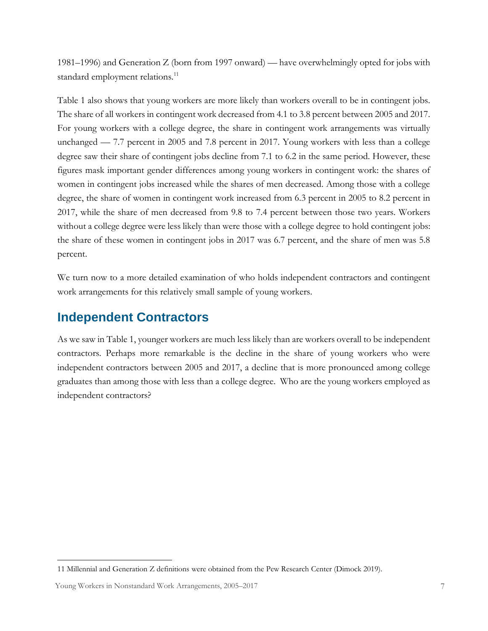1981–1996) and Generation Z (born from 1997 onward) — have overwhelmingly opted for jobs with standard employment relations.<sup>11</sup>

Table 1 also shows that young workers are more likely than workers overall to be in contingent jobs. The share of all workers in contingent work decreased from 4.1 to 3.8 percent between 2005 and 2017. For young workers with a college degree, the share in contingent work arrangements was virtually unchanged — 7.7 percent in 2005 and 7.8 percent in 2017. Young workers with less than a college degree saw their share of contingent jobs decline from 7.1 to 6.2 in the same period. However, these figures mask important gender differences among young workers in contingent work: the shares of women in contingent jobs increased while the shares of men decreased. Among those with a college degree, the share of women in contingent work increased from 6.3 percent in 2005 to 8.2 percent in 2017, while the share of men decreased from 9.8 to 7.4 percent between those two years. Workers without a college degree were less likely than were those with a college degree to hold contingent jobs: the share of these women in contingent jobs in 2017 was 6.7 percent, and the share of men was 5.8 percent.

We turn now to a more detailed examination of who holds independent contractors and contingent work arrangements for this relatively small sample of young workers.

## **Independent Contractors**

As we saw in Table 1, younger workers are much less likely than are workers overall to be independent contractors. Perhaps more remarkable is the decline in the share of young workers who were independent contractors between 2005 and 2017, a decline that is more pronounced among college graduates than among those with less than a college degree. Who are the young workers employed as independent contractors?

 $\overline{a}$ 

<sup>11</sup> Millennial and Generation Z definitions were obtained from the Pew Research Center (Dimock 2019).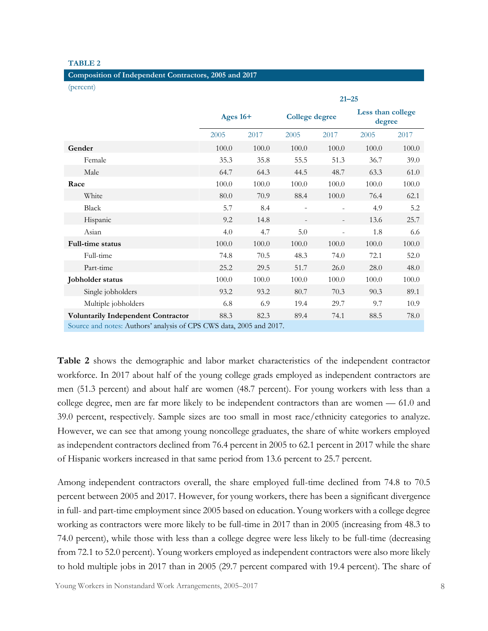#### **TABLE 2**

| Composition of Independent Contractors, 2005 and 2017 |  |  |  |  |  |  |
|-------------------------------------------------------|--|--|--|--|--|--|
|-------------------------------------------------------|--|--|--|--|--|--|

(percent)

|                                                                     | $21 - 25$  |       |                       |       |                             |       |  |
|---------------------------------------------------------------------|------------|-------|-----------------------|-------|-----------------------------|-------|--|
|                                                                     | Ages $16+$ |       | <b>College degree</b> |       | Less than college<br>degree |       |  |
|                                                                     | 2005       | 2017  | 2005                  | 2017  | 2005                        | 2017  |  |
| Gender                                                              | 100.0      | 100.0 | 100.0                 | 100.0 | 100.0                       | 100.0 |  |
| Female                                                              | 35.3       | 35.8  | 55.5                  | 51.3  | 36.7                        | 39.0  |  |
| Male                                                                | 64.7       | 64.3  | 44.5                  | 48.7  | 63.3                        | 61.0  |  |
| Race                                                                | 100.0      | 100.0 | 100.0                 | 100.0 | 100.0                       | 100.0 |  |
| White                                                               | 80.0       | 70.9  | 88.4                  | 100.0 | 76.4                        | 62.1  |  |
| <b>Black</b>                                                        | 5.7        | 8.4   |                       |       | 4.9                         | 5.2   |  |
| Hispanic                                                            | 9.2        | 14.8  |                       |       | 13.6                        | 25.7  |  |
| Asian                                                               | 4.0        | 4.7   | $5.0\,$               |       | 1.8                         | 6.6   |  |
| <b>Full-time status</b>                                             | 100.0      | 100.0 | 100.0                 | 100.0 | 100.0                       | 100.0 |  |
| Full-time                                                           | 74.8       | 70.5  | 48.3                  | 74.0  | 72.1                        | 52.0  |  |
| Part-time                                                           | 25.2       | 29.5  | 51.7                  | 26.0  | 28.0                        | 48.0  |  |
| Jobholder status                                                    | 100.0      | 100.0 | 100.0                 | 100.0 | 100.0                       | 100.0 |  |
| Single jobholders                                                   | 93.2       | 93.2  | 80.7                  | 70.3  | 90.3                        | 89.1  |  |
| Multiple jobholders                                                 | 6.8        | 6.9   | 19.4                  | 29.7  | 9.7                         | 10.9  |  |
| <b>Voluntarily Independent Contractor</b>                           | 88.3       | 82.3  | 89.4                  | 74.1  | 88.5                        | 78.0  |  |
| Source and notes: Authors' analysis of CPS CWS data, 2005 and 2017. |            |       |                       |       |                             |       |  |

**Table 2** shows the demographic and labor market characteristics of the independent contractor workforce. In 2017 about half of the young college grads employed as independent contractors are men (51.3 percent) and about half are women (48.7 percent). For young workers with less than a college degree, men are far more likely to be independent contractors than are women — 61.0 and 39.0 percent, respectively. Sample sizes are too small in most race/ethnicity categories to analyze. However, we can see that among young noncollege graduates, the share of white workers employed as independent contractors declined from 76.4 percent in 2005 to 62.1 percent in 2017 while the share of Hispanic workers increased in that same period from 13.6 percent to 25.7 percent.

Among independent contractors overall, the share employed full-time declined from 74.8 to 70.5 percent between 2005 and 2017. However, for young workers, there has been a significant divergence in full- and part-time employment since 2005 based on education. Young workers with a college degree working as contractors were more likely to be full-time in 2017 than in 2005 (increasing from 48.3 to 74.0 percent), while those with less than a college degree were less likely to be full-time (decreasing from 72.1 to 52.0 percent). Young workers employed as independent contractors were also more likely to hold multiple jobs in 2017 than in 2005 (29.7 percent compared with 19.4 percent). The share of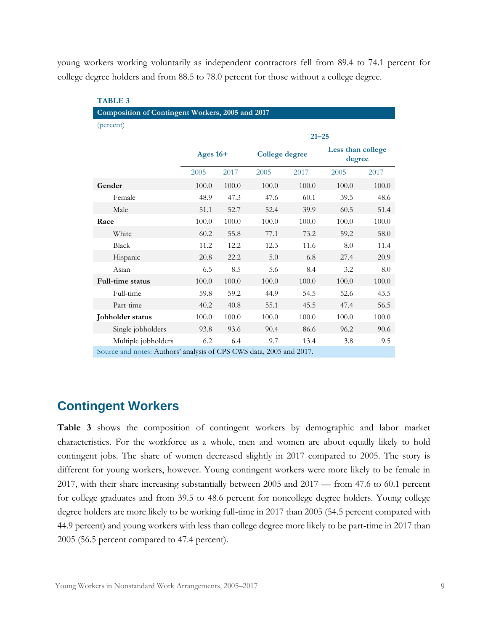young workers working voluntarily as independent contractors fell from 89.4 to 74.1 percent for college degree holders and from 88.5 to 78.0 percent for those without a college degree.

| <b>TABLE 3</b>                                                      |            |       |                       |           |                             |       |  |  |
|---------------------------------------------------------------------|------------|-------|-----------------------|-----------|-----------------------------|-------|--|--|
| Composition of Contingent Workers, 2005 and 2017                    |            |       |                       |           |                             |       |  |  |
| (percent)                                                           |            |       |                       |           |                             |       |  |  |
|                                                                     |            |       |                       | $21 - 25$ |                             |       |  |  |
|                                                                     | Ages $16+$ |       | <b>College degree</b> |           | Less than college<br>degree |       |  |  |
|                                                                     | 2005       | 2017  | 2005                  | 2017      | 2005                        | 2017  |  |  |
| Gender                                                              | 100.0      | 100.0 | 100.0                 | 100.0     | 100.0                       | 100.0 |  |  |
| Female                                                              | 48.9       | 47.3  | 47.6                  | 60.1      | 39.5                        | 48.6  |  |  |
| Male                                                                | 51.1       | 52.7  | 52.4                  | 39.9      | 60.5                        | 51.4  |  |  |
| Race                                                                | 100.0      | 100.0 | 100.0                 | 100.0     | 100.0                       | 100.0 |  |  |
| White                                                               | 60.2       | 55.8  | 77.1                  | 73.2      | 59.2                        | 58.0  |  |  |
| Black                                                               | 11.2       | 12.2  | 12.3                  | 11.6      | 8.0                         | 11.4  |  |  |
| Hispanic                                                            | 20.8       | 22.2  | 5.0                   | 6.8       | 27.4                        | 20.9  |  |  |
| Asian                                                               | 6.5        | 8.5   | 5.6                   | 8.4       | 3.2                         | 8.0   |  |  |
| <b>Full-time status</b>                                             | 100.0      | 100.0 | 100.0                 | 100.0     | 100.0                       | 100.0 |  |  |
| Full-time                                                           | 59.8       | 59.2  | 44.9                  | 54.5      | 52.6                        | 43.5  |  |  |
| Part-time                                                           | 40.2       | 40.8  | 55.1                  | 45.5      | 47.4                        | 56.5  |  |  |
| Jobholder status                                                    | 100.0      | 100.0 | 100.0                 | 100.0     | 100.0                       | 100.0 |  |  |
| Single jobholders                                                   | 93.8       | 93.6  | 90.4                  | 86.6      | 96.2                        | 90.6  |  |  |
| Multiple jobholders                                                 | 6.2        | 6.4   | 9.7                   | 13.4      | 3.8                         | 9.5   |  |  |
| Source and notes: Authors' analysis of CPS CWS data, 2005 and 2017. |            |       |                       |           |                             |       |  |  |

### **Contingent Workers**

**Table 3** shows the composition of contingent workers by demographic and labor market characteristics. For the workforce as a whole, men and women are about equally likely to hold contingent jobs. The share of women decreased slightly in 2017 compared to 2005. The story is different for young workers, however. Young contingent workers were more likely to be female in 2017, with their share increasing substantially between 2005 and 2017 — from 47.6 to 60.1 percent for college graduates and from 39.5 to 48.6 percent for noncollege degree holders. Young college degree holders are more likely to be working full-time in 2017 than 2005 (54.5 percent compared with 44.9 percent) and young workers with less than college degree more likely to be part-time in 2017 than 2005 (56.5 percent compared to 47.4 percent).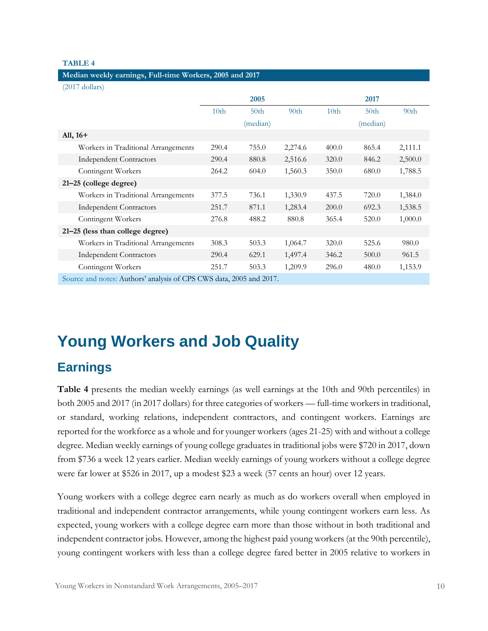#### **TABLE 4**

#### **Median weekly earnings, Full-time Workers, 2005 and 2017**

(2017 dollars)

|                                                                     |                  | 2005             |                  |                  | 2017             |                  |
|---------------------------------------------------------------------|------------------|------------------|------------------|------------------|------------------|------------------|
|                                                                     | 10 <sub>th</sub> | 50 <sub>th</sub> | 90 <sub>th</sub> | 10 <sub>th</sub> | 50 <sub>th</sub> | 90 <sub>th</sub> |
|                                                                     |                  | (median)         |                  |                  | (median)         |                  |
| All, $16+$                                                          |                  |                  |                  |                  |                  |                  |
| Workers in Traditional Arrangements                                 | 290.4            | 755.0            | 2,274.6          | 400.0            | 865.4            | 2,111.1          |
| <b>Independent Contractors</b>                                      | 290.4            | 880.8            | 2,516.6          | 320.0            | 846.2            | 2,500.0          |
| Contingent Workers                                                  | 264.2            | 604.0            | 1,560.3          | 350.0            | 680.0            | 1,788.5          |
| 21-25 (college degree)                                              |                  |                  |                  |                  |                  |                  |
| Workers in Traditional Arrangements                                 | 377.5            | 736.1            | 1,330.9          | 437.5            | 720.0            | 1,384.0          |
| <b>Independent Contractors</b>                                      | 251.7            | 871.1            | 1,283.4          | 200.0            | 692.3            | 1,538.5          |
| Contingent Workers                                                  | 276.8            | 488.2            | 880.8            | 365.4            | 520.0            | 1,000.0          |
| 21-25 (less than college degree)                                    |                  |                  |                  |                  |                  |                  |
| Workers in Traditional Arrangements                                 | 308.3            | 503.3            | 1,064.7          | 320.0            | 525.6            | 980.0            |
| <b>Independent Contractors</b>                                      | 290.4            | 629.1            | 1,497.4          | 346.2            | 500.0            | 961.5            |
| Contingent Workers                                                  | 251.7            | 503.3            | 1,209.9          | 296.0            | 480.0            | 1,153.9          |
| Source and notes: Authors' analysis of CPS CWS data, 2005 and 2017. |                  |                  |                  |                  |                  |                  |

# <span id="page-11-0"></span>**Young Workers and Job Quality**

### **Earnings**

**Table 4** presents the median weekly earnings (as well earnings at the 10th and 90th percentiles) in both 2005 and 2017 (in 2017 dollars) for three categories of workers — full-time workers in traditional, or standard, working relations, independent contractors, and contingent workers. Earnings are reported for the workforce as a whole and for younger workers (ages 21-25) with and without a college degree. Median weekly earnings of young college graduates in traditional jobs were \$720 in 2017, down from \$736 a week 12 years earlier. Median weekly earnings of young workers without a college degree were far lower at \$526 in 2017, up a modest \$23 a week (57 cents an hour) over 12 years.

Young workers with a college degree earn nearly as much as do workers overall when employed in traditional and independent contractor arrangements, while young contingent workers earn less. As expected, young workers with a college degree earn more than those without in both traditional and independent contractor jobs. However, among the highest paid young workers (at the 90th percentile), young contingent workers with less than a college degree fared better in 2005 relative to workers in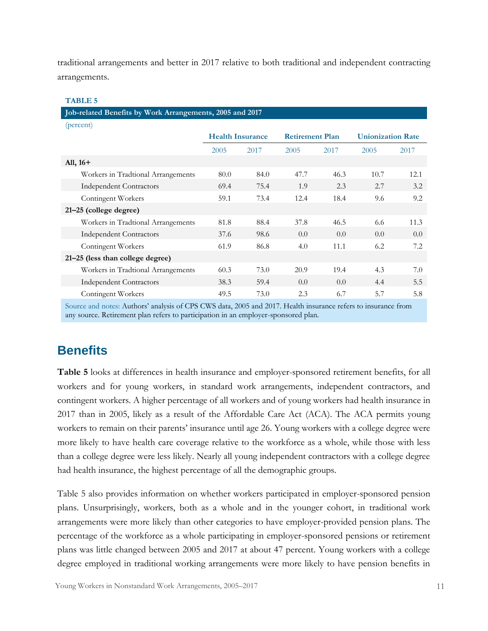traditional arrangements and better in 2017 relative to both traditional and independent contracting arrangements.

#### **TABLE 5**

**Job-related Benefits by Work Arrangements, 2005 and 2017**

| (percent)                          |                         |      |                        |      |                          |      |
|------------------------------------|-------------------------|------|------------------------|------|--------------------------|------|
|                                    | <b>Health Insurance</b> |      | <b>Retirement Plan</b> |      | <b>Unionization Rate</b> |      |
|                                    | 2005                    | 2017 | 2005                   | 2017 | 2005                     | 2017 |
| All, $16+$                         |                         |      |                        |      |                          |      |
| Workers in Tradtional Arrangements | 80.0                    | 84.0 | 47.7                   | 46.3 | 10.7                     | 12.1 |
| <b>Independent Contractors</b>     | 69.4                    | 75.4 | 1.9                    | 2.3  | 2.7                      | 3.2  |
| Contingent Workers                 | 59.1                    | 73.4 | 12.4                   | 18.4 | 9.6                      | 9.2  |
| $21-25$ (college degree)           |                         |      |                        |      |                          |      |
| Workers in Tradtional Arrangements | 81.8                    | 88.4 | 37.8                   | 46.5 | 6.6                      | 11.3 |
| <b>Independent Contractors</b>     | 37.6                    | 98.6 | 0.0                    | 0.0  | 0.0                      | 0.0  |
| Contingent Workers                 | 61.9                    | 86.8 | 4.0                    | 11.1 | 6.2                      | 7.2  |
| 21-25 (less than college degree)   |                         |      |                        |      |                          |      |
| Workers in Tradtional Arrangements | 60.3                    | 73.0 | 20.9                   | 19.4 | 4.3                      | 7.0  |
| <b>Independent Contractors</b>     | 38.3                    | 59.4 | 0.0                    | 0.0  | 4.4                      | 5.5  |
| Contingent Workers                 | 49.5                    | 73.0 | 2.3                    | 6.7  | 5.7                      | 5.8  |

Source and notes: Authors' analysis of CPS CWS data, 2005 and 2017. Health insurance refers to insurance from any source. Retirement plan refers to participation in an employer-sponsored plan.

## **Benefits**

**Table 5** looks at differences in health insurance and employer-sponsored retirement benefits, for all workers and for young workers, in standard work arrangements, independent contractors, and contingent workers. A higher percentage of all workers and of young workers had health insurance in 2017 than in 2005, likely as a result of the Affordable Care Act (ACA). The ACA permits young workers to remain on their parents' insurance until age 26. Young workers with a college degree were more likely to have health care coverage relative to the workforce as a whole, while those with less than a college degree were less likely. Nearly all young independent contractors with a college degree had health insurance, the highest percentage of all the demographic groups.

Table 5 also provides information on whether workers participated in employer-sponsored pension plans. Unsurprisingly, workers, both as a whole and in the younger cohort, in traditional work arrangements were more likely than other categories to have employer-provided pension plans. The percentage of the workforce as a whole participating in employer-sponsored pensions or retirement plans was little changed between 2005 and 2017 at about 47 percent. Young workers with a college degree employed in traditional working arrangements were more likely to have pension benefits in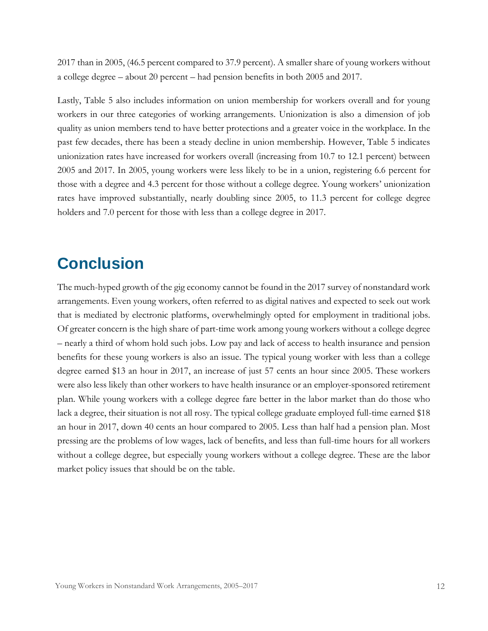2017 than in 2005, (46.5 percent compared to 37.9 percent). A smaller share of young workers without a college degree – about 20 percent – had pension benefits in both 2005 and 2017.

Lastly, Table 5 also includes information on union membership for workers overall and for young workers in our three categories of working arrangements. Unionization is also a dimension of job quality as union members tend to have better protections and a greater voice in the workplace. In the past few decades, there has been a steady decline in union membership. However, Table 5 indicates unionization rates have increased for workers overall (increasing from 10.7 to 12.1 percent) between 2005 and 2017. In 2005, young workers were less likely to be in a union, registering 6.6 percent for those with a degree and 4.3 percent for those without a college degree. Young workers' unionization rates have improved substantially, nearly doubling since 2005, to 11.3 percent for college degree holders and 7.0 percent for those with less than a college degree in 2017.

# <span id="page-13-0"></span>**Conclusion**

The much-hyped growth of the gig economy cannot be found in the 2017 survey of nonstandard work arrangements. Even young workers, often referred to as digital natives and expected to seek out work that is mediated by electronic platforms, overwhelmingly opted for employment in traditional jobs. Of greater concern is the high share of part-time work among young workers without a college degree – nearly a third of whom hold such jobs. Low pay and lack of access to health insurance and pension benefits for these young workers is also an issue. The typical young worker with less than a college degree earned \$13 an hour in 2017, an increase of just 57 cents an hour since 2005. These workers were also less likely than other workers to have health insurance or an employer-sponsored retirement plan. While young workers with a college degree fare better in the labor market than do those who lack a degree, their situation is not all rosy. The typical college graduate employed full-time earned \$18 an hour in 2017, down 40 cents an hour compared to 2005. Less than half had a pension plan. Most pressing are the problems of low wages, lack of benefits, and less than full-time hours for all workers without a college degree, but especially young workers without a college degree. These are the labor market policy issues that should be on the table.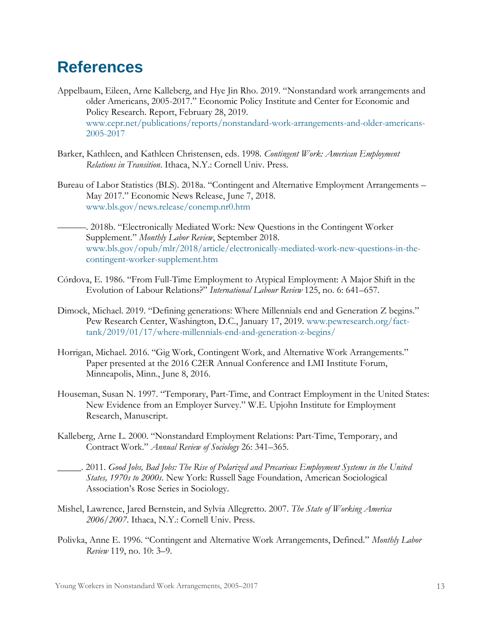# <span id="page-14-0"></span>**References**

- Appelbaum, Eileen, Arne Kalleberg, and Hye Jin Rho. 2019. "[Nonstandard work arrangements and](http://cepr.net/images/stories/reports/cws-2019-02.pdf)  [older Americans, 2005-2017.](http://cepr.net/images/stories/reports/cws-2019-02.pdf)" Economic Policy Institute and Center for Economic and Policy Research. Report, February 28, 2019. [www.cepr.net/publications/reports/nonstandard-work-arrangements-and-older-americans-](http://www.cepr.net/publications/reports/nonstandard-work-arrangements-and-older-americans-2005-2017)[2005-2017](http://www.cepr.net/publications/reports/nonstandard-work-arrangements-and-older-americans-2005-2017)
- Barker, Kathleen, and Kathleen Christensen, eds. 1998. *Contingent Work: American Employment Relations in Transition*. Ithaca, N.Y.: Cornell Univ. Press.
- Bureau of Labor Statistics (BLS). 2018a. "Contingent and Alternative Employment Arrangements May 2017." Economic News Release, June 7, 2018. [www.bls.gov/news.release/conemp.nr0.htm](http://www.bls.gov/news.release/conemp.nr0.htm)
- ———. 2018b. "[Electronically Mediated Work: New Questions in the](https://www.bls.gov/opub/mlr/2018/article/electronically-mediated-work-new-questions-in-the-contingent-worker-supplement.htm) Contingent Worker [Supplement](https://www.bls.gov/opub/mlr/2018/article/electronically-mediated-work-new-questions-in-the-contingent-worker-supplement.htm)." *Monthly Labor Review*, September 2018. [www.bls.gov/opub/mlr/2018/article/electronically-mediated-work-new-questions-in-the](http://www.bls.gov/opub/mlr/2018/article/electronically-mediated-work-new-questions-in-the-contingent-worker-supplement.htm)[contingent-worker-supplement.htm](http://www.bls.gov/opub/mlr/2018/article/electronically-mediated-work-new-questions-in-the-contingent-worker-supplement.htm)
- Córdova, E. 1986. "From Full-Time Employment to Atypical Employment: A Major Shift in the Evolution of Labour Relations?" *International Labour Review* 125, no. 6: 641–657.
- Dimock, Michael. 2019. "[Defining generations: Where Millennials end and Generation Z begins.](https://www.pewresearch.org/fact-tank/2019/01/17/where-millennials-end-and-generation-z-begins/)" Pew Research Center, Washington, D.C., January 17, 2019. [www.pewresearch.org/fact](http://www.pewresearch.org/fact-tank/2019/01/17/where-millennials-end-and-generation-z-begins/)[tank/2019/01/17/where-millennials-end-and-generation-z-begins/](http://www.pewresearch.org/fact-tank/2019/01/17/where-millennials-end-and-generation-z-begins/)
- Horrigan, Michael. 2016. "Gig Work, Contingent Work, and Alternative Work Arrangements." Paper presented at the 2016 C2ER Annual Conference and LMI Institute Forum, Minneapolis, Minn., June 8, 2016.
- Houseman, Susan N. 1997. "Temporary, Part-Time, and Contract Employment in the United States: New Evidence from an Employer Survey." W.E. Upjohn Institute for Employment Research, Manuscript.
- Kalleberg, Arne L. 2000. "Nonstandard Employment Relations: Part-Time, Temporary, and Contract Work." *Annual Review of Sociology* 26: 341–365.
- \_\_\_\_\_. 2011. *Good Jobs, Bad Jobs: The Rise of Polarized and Precarious Employment Systems in the United States, 1970s to 2000s*. New York: Russell Sage Foundation, American Sociological Association's Rose Series in Sociology.
- Mishel, Lawrence, Jared Bernstein, and Sylvia Allegretto. 2007. *The State of Working America 2006/2007*. Ithaca, N.Y.: Cornell Univ. Press.
- Polivka, Anne E. 1996. "Contingent and Alternative Work Arrangements, Defined." *Monthly Labor Review* 119, no. 10: 3–9.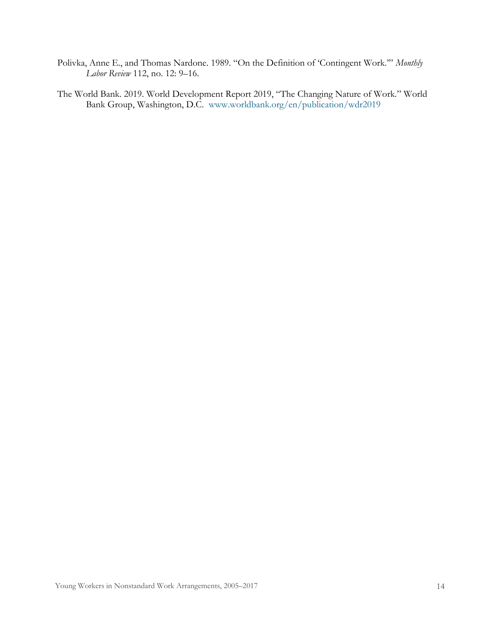- Polivka, Anne E., and Thomas Nardone. 1989. "On the Definition of 'Contingent Work.'" *Monthly Labor Review* 112, no. 12: 9–16.
- The World Bank. 2019. World Development Report 2019, "[The Changing Nature of Work.](http://documents.worldbank.org/curated/en/816281518818814423/pdf/2019-WDR-Report.pdf)" World Bank Group, Washington, D.C. [www.worldbank.org/en/publication/wdr2019](http://www.worldbank.org/en/publication/wdr2019)